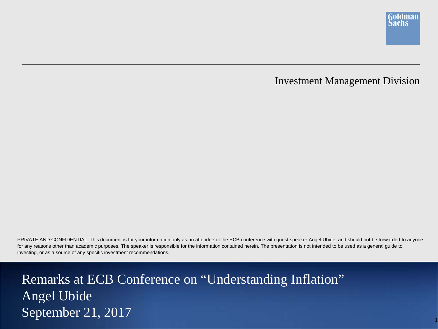

### Investment Management Division

PRIVATE AND CONFIDENTIAL. This document is for your information only as an attendee of the ECB conference with guest speaker Angel Ubide, and should not be forwarded to anyone for any reasons other than academic purposes. The speaker is responsible for the information contained herein. The presentation is not intended to be used as a general guide to investing, or as a source of any specific investment recommendations.

Remarks at ECB Conference on "Understanding Inflation" Angel Ubide September 21, 2017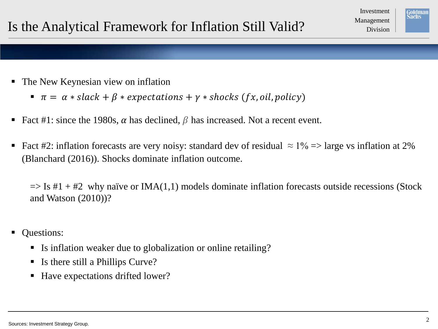

- The New Keynesian view on inflation
	- $\pi = \alpha * slack + \beta * expectations + \gamma * shocks (fx, oil, policy)$
- Fact #1: since the 1980s,  $\alpha$  has declined,  $\beta$  has increased. Not a recent event.
- Fact #2: inflation forecasts are very noisy: standard dev of residual  $\approx 1\%$  => large vs inflation at 2% (Blanchard (2016)). Shocks dominate inflation outcome.

 $\Rightarrow$  Is #1 + #2 why naïve or IMA(1,1) models dominate inflation forecasts outside recessions (Stock and Watson (2010))?

- Questions:
	- Is inflation weaker due to globalization or online retailing?
	- Is there still a Phillips Curve?
	- Have expectations drifted lower?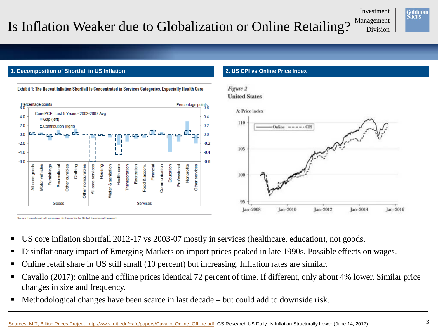### Is Inflation Weaker due to Globalization or Online Retailing? Management

Investment

Jan-2016



### **1. Decomposition of Shortfall in US Inflation 2. US CPI vs Online Price Index**

Source: Department of Commerce, Goldman Sachs Global Investment Besearch



Exhibit 1: The Recent Inflation Shortfall Is Concentrated in Services Categories, Especially Health Care

Figure 2 **United States** 

- US core inflation shortfall 2012-17 vs 2003-07 mostly in services (healthcare, education), not goods.
- Disinflationary impact of Emerging Markets on import prices peaked in late 1990s. Possible effects on wages.
- Online retail share in US still small (10 percent) but increasing. Inflation rates are similar.
- Cavallo (2017): online and offline prices identical 72 percent of time. If different, only about 4% lower. Similar price changes in size and frequency.
- Methodological changes have been scarce in last decade but could add to downside risk.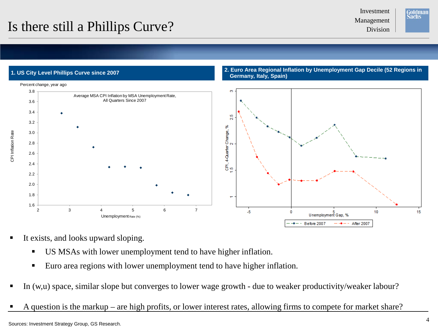# Is there still a Phillips Curve?

Investment





- It exists, and looks upward sloping.
	- US MSAs with lower unemployment tend to have higher inflation.
	- Euro area regions with lower unemployment tend to have higher inflation.
- In (w,u) space, similar slope but converges to lower wage growth due to weaker productivity/weaker labour?
- A question is the markup are high profits, or lower interest rates, allowing firms to compete for market share?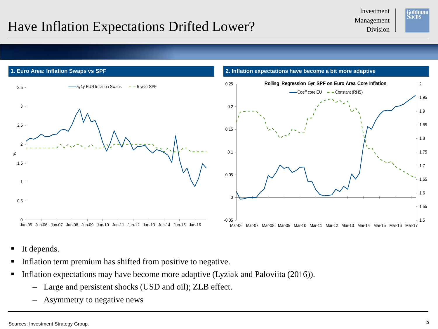### Management Have Inflation Expectations Drifted Lower?

Investment





- It depends.
- Inflation term premium has shifted from positive to negative.
- Inflation expectations may have become more adaptive (Lyziak and Paloviita (2016)).
	- Large and persistent shocks (USD and oil); ZLB effect.
	- Asymmetry to negative news

1.5

1.55

1.6

1.65

1.7

1.75

1.8

1.85

1.9

1.95

2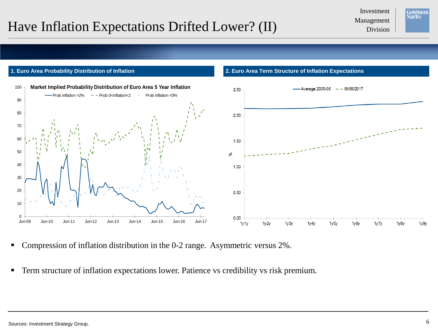# Management Have Inflation Expectations Drifted Lower? (II) Management Division

Investment





- Compression of inflation distribution in the 0-2 range. Asymmetric versus 2%.
- **Term structure of inflation expectations lower. Patience vs credibility vs risk premium.**